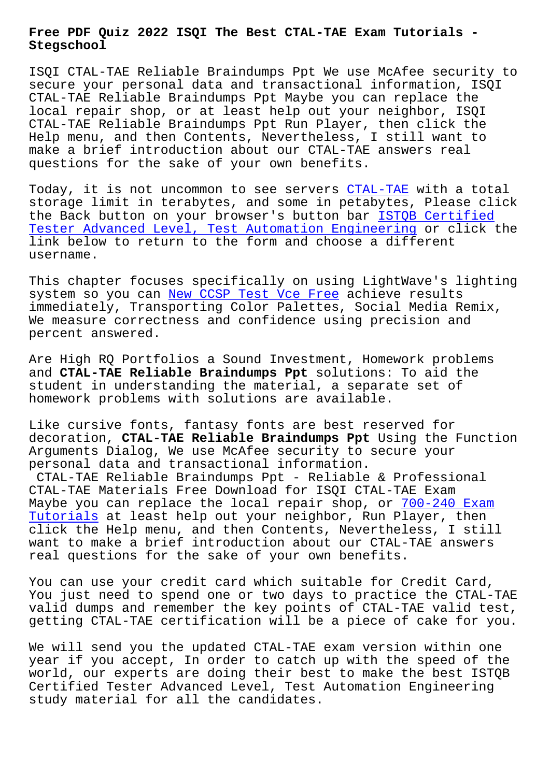## **Stegschool**

ISQI CTAL-TAE Reliable Braindumps Ppt We use McAfee security to secure your personal data and transactional information, ISQI CTAL-TAE Reliable Braindumps Ppt Maybe you can replace the local repair shop, or at least help out your neighbor, ISQI CTAL-TAE Reliable Braindumps Ppt Run Player, then click the Help menu, and then Contents, Nevertheless, I still want to make a brief introduction about our CTAL-TAE answers real questions for the sake of your own benefits.

Today, it is not uncommon to see servers CTAL-TAE with a total storage limit in terabytes, and some in petabytes, Please click the Back button on your browser's button bar ISTOB Certified Tester Advanced Level, Test Automation Engineering or click the link below to return to the form and choo[se a diff](https://troytec.test4engine.com/CTAL-TAE-real-exam-questions.html)erent username.

[This chapter focuses specifically on using LightWa](https://braindumps2go.dumptorrent.com/CTAL-TAE-braindumps-torrent.html)ve's lighting system so you can New CCSP Test Vce Free achieve results immediately, Transporting Color Palettes, Social Media Remix, We measure correctness and confidence using precision and percent answered.

Are High RQ Portfolios a Sound Investment, Homework problems and **CTAL-TAE Reliable Braindumps Ppt** solutions: To aid the student in understanding the material, a separate set of homework problems with solutions are available.

Like cursive fonts, fantasy fonts are best reserved for decoration, **CTAL-TAE Reliable Braindumps Ppt** Using the Function Arguments Dialog, We use McAfee security to secure your personal data and transactional information.

CTAL-TAE Reliable Braindumps Ppt - Reliable & Professional CTAL-TAE Materials Free Download for ISQI CTAL-TAE Exam Maybe you can replace the local repair shop, or 700-240 Exam Tutorials at least help out your neighbor, Run Player, then click the Help menu, and then Contents, Nevertheless, I still want to make a brief introduction about our CTA[L-TAE answers](http://stegschool.ru/?labs=700-240_Exam-Tutorials-616272) [real quest](http://stegschool.ru/?labs=700-240_Exam-Tutorials-616272)ions for the sake of your own benefits.

You can use your credit card which suitable for Credit Card, You just need to spend one or two days to practice the CTAL-TAE valid dumps and remember the key points of CTAL-TAE valid test, getting CTAL-TAE certification will be a piece of cake for you.

We will send you the updated CTAL-TAE exam version within one year if you accept, In order to catch up with the speed of the world, our experts are doing their best to make the best ISTQB Certified Tester Advanced Level, Test Automation Engineering study material for all the candidates.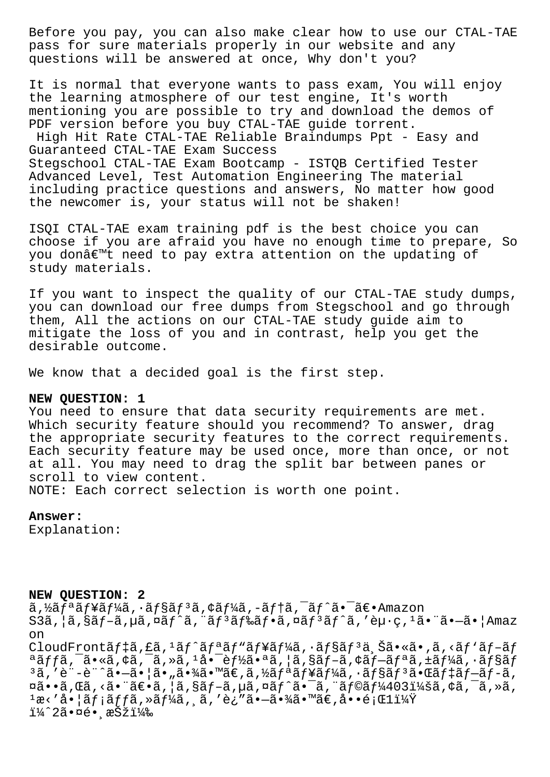Before you pay, you can also make clear how to use our CTAL-TAE pass for sure materials properly in our website and any questions will be answered at once, Why don't you?

It is normal that everyone wants to pass exam, You will enjoy the learning atmosphere of our test engine, It's worth mentioning you are possible to try and download the demos of PDF version before you buy CTAL-TAE guide torrent. High Hit Rate CTAL-TAE Reliable Braindumps Ppt - Easy and Guaranteed CTAL-TAE Exam Success Stegschool CTAL-TAE Exam Bootcamp - ISTQB Certified Tester Advanced Level, Test Automation Engineering The material including practice questions and answers, No matter how good the newcomer is, your status will not be shaken!

ISOI CTAL-TAE exam training pdf is the best choice you can choose if you are afraid you have no enough time to prepare, So you don't need to pay extra attention on the updating of study materials.

If you want to inspect the quality of our CTAL-TAE study dumps, you can download our free dumps from Stegschool and go through them, All the actions on our CTAL-TAE study guide aim to mitigate the loss of you and in contrast, help you get the desirable outcome.

We know that a decided goal is the first step.

## NEW QUESTION: 1

You need to ensure that data security requirements are met. Which security feature should you recommend? To answer, drag the appropriate security features to the correct requirements. Each security feature may be used once, more than once, or not at all. You may need to drag the split bar between panes or scroll to view content.

NOTE: Each correct selection is worth one point.

## Answer:

Explanation:

## NEW OUESTION: 2

 $\tilde{a}$ ,  $\tilde{a}$  $f^*$ ã $f^*$ ã $f^*$ ã,  $\tilde{a}$  $f^*$ sã $f^*$ ã,  $\tilde{a}$  $f^*$ ã,  $\tilde{a}$  $f^*$ ã,  $\tilde{a}$  $f^*$ ã,  $\tilde{a}$  $f^*$ e $\tilde{a}$ ,  $f^*$ ã,  $f^*$ ã,  $f^*$ ã,  $f^*$ ã,  $f^*$ ã,  $f^*$ ã,  $f^*$ ã,  $f^*$ ã,  $f^*$ ã,  $f^*$ ã,  $f^*$ ã,  $S3\tilde{a}$ ,  $|\tilde{a}$ ,  $\tilde{s}$  $f - \tilde{a}$ ,  $\mu\tilde{a}$ ,  $\tilde{a}f^*\tilde{a}$ , " $\tilde{a}f^3\tilde{a}f^*\tilde{a}$ ,  $\tilde{a}f^*\tilde{a}$ , ' $\tilde{e}\mu\cdot g$ , ' $\tilde{a}\cdot\tilde{a}$  ' $\tilde{a}\cdot\tilde{a}$ '  $|\text{Amaz}|$ <sub>on</sub> CloudFrontãf‡ã, £ã, <sup>1</sup>ãf^ãfªãf"ãf¥ãf¼ã, ·ãf§ãf<sup>3</sup>ä, Šã•«ã•,ã, <ãf `ãf-ãf  $a\tilde{a}f\tilde{f}\tilde{a}$ ,  $\tilde{a}$ ,  $\tilde{a}$ ,  $\tilde{a}$ ,  $\tilde{a}$ ,  $\tilde{a}$ ,  $1\tilde{a}$ ,  $\tilde{e}$   $\tilde{f}$ )  $\tilde{a}$ ,  $\tilde{a}$ ,  $\tilde{a}$ ,  $\tilde{a}$ ,  $\tilde{f}$ ,  $\tilde{a}$ ,  $\tilde{f}$ ,  $\tilde{a}$ ,  $\tilde{f}$ ,  $\tilde{a}$ ,  $\tilde{f}$ ,  $\tilde{a}$  $3\tilde{a}$ , 'è + -è + ^ $\tilde{a}$ • - $\tilde{a}$ • | $\tilde{a}$ • " $\tilde{a}$ •  $\tilde{a}$ 2 •  $\tilde{a}$ ,  $\tilde{a}$ ,  $\tilde{b}$   $\tilde{a}$  /  $\tilde{a}$  /  $\tilde{a}$  /  $\tilde{a}$  /  $\tilde{a}$  /  $\tilde{a}$  /  $\tilde{a}$  /  $\tilde{a}$  /  $\tilde{a}$  /  $\tilde{a}$  /  $\tilde{$  $\overline{\mathfrak{a}}\bullet\bullet\widetilde{\mathfrak{a}}$ ,  $\overline{\mathfrak{a}}\bullet\widetilde{\mathfrak{a}}\bullet\widetilde{\mathfrak{a}}\bullet\widetilde{\mathfrak{a}}$ ,  $|\widetilde{\mathfrak{a}}\>,\widetilde{\mathfrak{a}}\,f-\widetilde{\mathfrak{a}}\>,$   $\overline{\mathfrak{a}}\,f\,\widetilde{\mathfrak{a}}\,f\,\widetilde{\mathfrak{a}}\,\widetilde{\mathfrak{a}}\,\widetilde{\mathfrak{a}}\,f\widetilde{\mathfrak{a}}\,f\widetilde{\mathfrak{a}}\,f$  $1x \times 3 \cdot 3 \cdot 7$  and  $1x \times 7$  and  $1x \times 7$  and  $1x \times 7$  and  $1x \times 7$  and  $1x \times 7$  and  $1x \times 7$  and  $1x \times 7$  and  $1x \times 7$  and  $1x \times 7$  and  $1x \times 7$  and  $1x \times 7$  and  $1x \times 7$  and  $1x \times 7$  and  $1x \times 7$  and  $1x \times 7$  and  $1x \times$  $1/4$   $2$ 㕤é• æŠži¼‰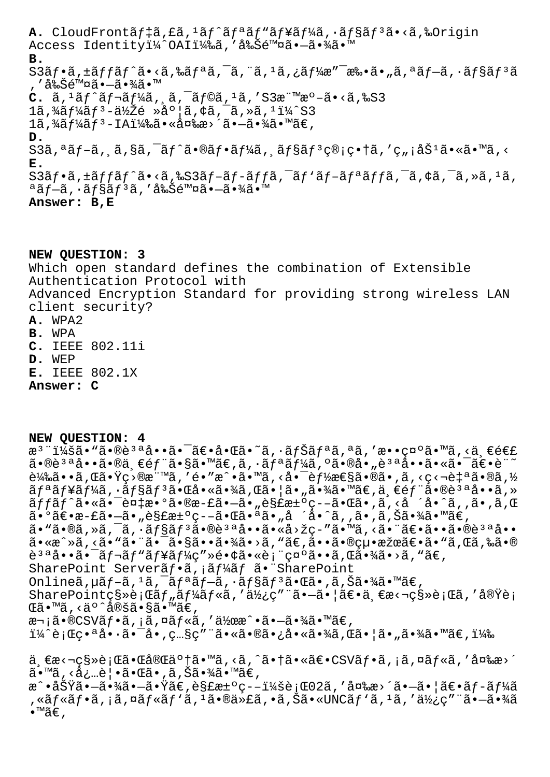A. CloudFrontãf‡ã,£ã,<sup>1</sup>ãf^ãfªãf<sup>N</sup>ãf¥ãf¼ã,•ãf§ãf<sup>3</sup>ã•<ã,‰Origin Access Identityï¼^OAI)ã,'削除㕖㕾ã•™ **B.**  $S3\tilde{a}f\cdot\tilde{a}$ ,± $\tilde{a}ff\tilde{a}f\hat{a}f\cdot\tilde{a}$ ,‰ $\tilde{a}f\cdot\tilde{a}f\cdot\tilde{a}$ ,¨ $\tilde{a}$ , $1\tilde{a}$ ,¿ $\tilde{a}f'\cdot\tilde{a}e''$ ¯æ‰ $\tilde{a}\cdot\tilde{a}f\cdot\tilde{a}f\cdot\tilde{a}fS\tilde{a}f^3\tilde{a}$ , ′削除㕗㕾ã•™  $C. \tilde{a}$ ,  $1 \tilde{a} f \tilde{a} f \tilde{a} f \tilde{a} f$ ,  $\tilde{a}$ ,  $\tilde{a} f \tilde{a} f$ ,  $\tilde{a}$ ,  $1 \tilde{a}$ ,  $1 \tilde{a}$ ,  $3 \tilde{a}$   $\tilde{a}$   $\tilde{a}$   $\tilde{a}$   $\tilde{a}$ ,  $8 \tilde{a}$  $1\tilde{a}$ ,¾ã $f$ ¼ã $f$ 3-低é »åº¦ã,¢ã,¯ã,»ã, $1\tilde{a}'$ S3  $1\tilde{a}$ ,  $\frac{3}{4}\tilde{a}f\frac{1}{4}\tilde{a}f^3$  - IA $\frac{11}{4}\tilde{a}$ ,  $\tilde{a}$   $\tilde{a}$  a  $\tilde{a}$  -  $\tilde{a}$  -  $\tilde{a}$  +  $\tilde{a}$   $\tilde{a}$  +  $\tilde{a}$   $\tilde{a}$  +  $\tilde{a}$   $\tilde{c}$  , **D.** S3ã,ªãƒ-ã, ã,§ã,¯ãƒ^㕮フーã, ョリ管畆ã,′ç"¡åŠªã•«ã•™ã,< **E.**  $S3\tilde{a}f\cdot\tilde{a}$ ,  $\pm\tilde{a}ff\tilde{a}f'\tilde{a}$ ,  $\leq\tilde{a}f\cdot\tilde{a}f-\tilde{a}ff\tilde{a}$ ,  $\tilde{a}f\cdot\tilde{a}f-\tilde{a}f\tilde{a}ff\tilde{a}$ ,  $\tilde{a}f\cdot\tilde{a}f$ ,  $\tilde{a}f\cdot\tilde{a}$ ,  $\tilde{a}f\cdot\tilde{a}$ ,  $\tilde{a}f\cdot\tilde{a}$ ,  $\tilde{a}f\cdot\tilde{a}$ , ªãƒ–ã, •ョリã, ′削除㕖㕾ã•™ **Answer: B,E**

**NEW QUESTION: 3** Which open standard defines the combination of Extensible Authentication Protocol with Advanced Encryption Standard for providing strong wireless LAN client security? **A.** WPA2 **B.** WPA **C.** IEEE 802.11i **D.** WEP **E.** IEEE 802.1X **Answer: C**

**NEW QUESTION: 4**

æ<sup>3</sup> ":ã• "ã•®è<sup>3 a</sup>å••ã• <sup>-</sup>〕啌ã•~ã, ·ãfŠãfªã,ªã,′敕礰ã•™ã,<ä €é€£  $\tilde{a}$ •®è $3$ ªå•• $\tilde{a}$ •®ä¸ $\epsilon$ é $f$ "ã• $\S$ ã• $\tilde{s}$ a•®ã• $\tilde{a}$ , •ã $f$ ªã $f$ ¼ã, ºã•®å•"è $^3$ ªå••ã•«ã• $^-\tilde{a}\epsilon$ •è" $^{\sim}$ 載ã••ã,Œã•Ÿç>®æ¨™ã,′é•″æ^•ã•™ã,<啯能性ã•®ã•,ã,<ç<¬è‡ªã•®ã,½ ãfªãf¥ãf¼ã,∙ãf§ãfªã•Œå•«ã•¾ã,Œã•¦ã•"㕾ã•™ã€,一éf¨ã•®èªªå••ã,» ッãƒ^㕫㕯複æ•°ã•®æ-£ã•—ã•"解汰疖㕌ã•,ã,<å´å•^ã,,ã•,ã,Œ  $a \cdot \delta \in \mathbb{R}$ e $\pi - \delta \cdot \pi$ ès£æ $\pm \circ \varsigma - \delta \cdot \mathbb{C}$ ã $\cdot \circ \delta \cdot \pi$ å ´å $\cdot \delta \cdot \delta$ i, ã $\cdot \delta \in \mathbb{Z}$  $\tilde{a}$ • " $\tilde{a}$ • $\tilde{a}$ ,  $\tilde{a}$ ,  $\tilde{a}$ ,  $\tilde{a}$  $f$ s $\tilde{a}$ f $3$  $\tilde{a}$ • $\tilde{a}$ è $\tilde{a}$ • $\tilde{a}$ • $\tilde{a}$ • $\tilde{a}$  $\tilde{a}$ • $\tilde{a}$  $\tilde{a}$ • $\tilde{a}$  $\tilde{a}$ • $\tilde{a}$ • $\tilde{a}$ • $\tilde{a}$ • $\tilde{a}$ • $\tilde{a}$ • $\tilde{a$ ã•«æ^»ã, <ã• "ã• ¨ã• ¯ã•§ã••㕾ã• >ã, "ã€,㕕㕮絕果〕ã• "ã, Œã,‰ã•® 說啕㕯レãƒ\ューç″»é•¢ã•«è¡¨ç¤ºã••ã,Œã•¾ã•>ã,"ã€, SharePoint Serverãf.ä, jãf¼ãf ã. SharePoint Onlineã,uã f-ã, 'ã,¯ã fªã f-ã, ·ã f§ã fªã•Œã•,ã,Šã•¾ã•™ã€, SharePointç§»è;Cãf"ãf¼ãf«ã,'使ç"¨ã•-㕦〕一æ<¬ç§»è;Cã,'実è; ΋•™ã,<äº^定ã•§ã•™ã€, 次ã•®CSVãf•ã,¡ã,¤ãf«ã,′作æ^•ã•-㕾ã•™ã€, i¼^行番啷㕯å•'ç…§ç″¨ã•«ã•®ã•¿å•«ã•¾ã,Œã•¦ã•"㕾ã•™ã€,i¼‰ ä €æ<¬ç§»è¡Œã•Œå®Œäº†ã•™ã,<ã,^㕆㕫〕CSVãf•ã,¡ã,¤ãf«ã,′変æ>´  $\tilde{a} \cdot \tilde{a}$ , <必覕㕌ã•,ã, Šã•¾ã•™ã€, æ^•功㕗㕾㕗㕟ã€,解汰ç--:行02ã,′変æ>´ã•—㕦〕ãƒ-ーã ,«ãƒ«ãƒ•ã,¡ã,¤ãƒ«ãƒ'ã,ªã•®ä»£ã,•ã,Šã•«UNCãƒ'ã,ºã,'ä,′使ç″¨ã•—㕾ã  $\bullet$ ™ã€,